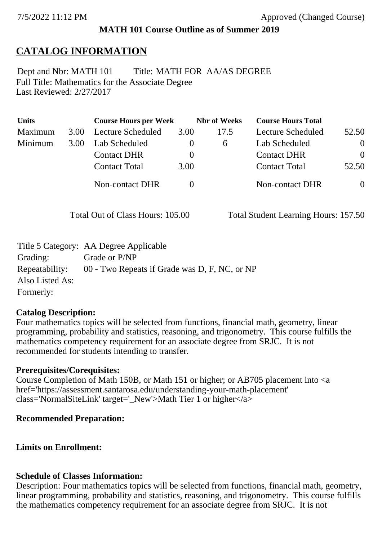#### **MATH 101 Course Outline as of Summer 2019**

# **CATALOG INFORMATION**

Full Title: Mathematics for the Associate Degree Last Reviewed: 2/27/2017 Dept and Nbr: MATH 101 Title: MATH FOR AA/AS DEGREE

| <b>Units</b> |      | <b>Course Hours per Week</b> |          | <b>Nbr</b> of Weeks | <b>Course Hours Total</b> |                |
|--------------|------|------------------------------|----------|---------------------|---------------------------|----------------|
| Maximum      | 3.00 | Lecture Scheduled            | 3.00     | 17.5                | Lecture Scheduled         | 52.50          |
| Minimum      | 3.00 | Lab Scheduled                | $\theta$ | $\sigma$            | Lab Scheduled             | $\overline{0}$ |
|              |      | <b>Contact DHR</b>           | $\theta$ |                     | <b>Contact DHR</b>        | $\Omega$       |
|              |      | <b>Contact Total</b>         | 3.00     |                     | <b>Contact Total</b>      | 52.50          |
|              |      | <b>Non-contact DHR</b>       |          |                     | Non-contact DHR           | $\overline{0}$ |

Total Out of Class Hours: 105.00 Total Student Learning Hours: 157.50

|                 | Title 5 Category: AA Degree Applicable        |
|-----------------|-----------------------------------------------|
| Grading:        | Grade or P/NP                                 |
| Repeatability:  | 00 - Two Repeats if Grade was D, F, NC, or NP |
| Also Listed As: |                                               |
| Formerly:       |                                               |

#### **Catalog Description:**

Four mathematics topics will be selected from functions, financial math, geometry, linear programming, probability and statistics, reasoning, and trigonometry. This course fulfills the mathematics competency requirement for an associate degree from SRJC. It is not recommended for students intending to transfer.

#### **Prerequisites/Corequisites:**

Course Completion of Math 150B, or Math 151 or higher; or AB705 placement into <a href='https://assessment.santarosa.edu/understanding-your-math-placement' class='NormalSiteLink' target=' New'>Math Tier 1 or higher $\langle a \rangle$ 

#### **Recommended Preparation:**

#### **Limits on Enrollment:**

# **Schedule of Classes Information:**

Description: Four mathematics topics will be selected from functions, financial math, geometry, linear programming, probability and statistics, reasoning, and trigonometry. This course fulfills the mathematics competency requirement for an associate degree from SRJC. It is not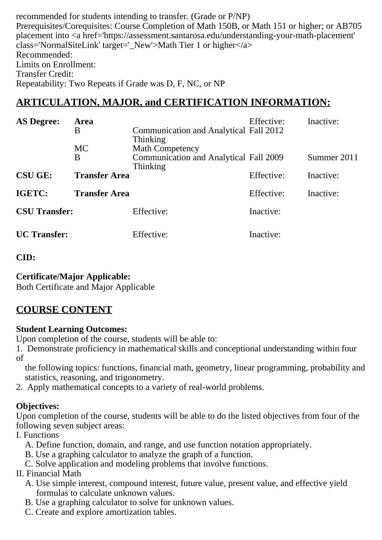recommended for students intending to transfer. (Grade or P/NP) Prerequisites/Corequisites: Course Completion of Math 150B, or Math 151 or higher; or AB705 placement into <a href='https://assessment.santarosa.edu/understanding-your-math-placement' class='NormalSiteLink' target='\_New'>Math Tier 1 or higher</a> Recommended: Limits on Enrollment: Transfer Credit: Repeatability: Two Repeats if Grade was D, F, NC, or NP

# **ARTICULATION, MAJOR, and CERTIFICATION INFORMATION:**

| <b>AS Degree:</b>    | <b>Area</b><br>B     | Communication and Analytical Fall 2012<br><b>Thinking</b>                                  | Effective: | Inactive:   |
|----------------------|----------------------|--------------------------------------------------------------------------------------------|------------|-------------|
|                      | <b>MC</b><br>B       | <b>Math Competency</b><br><b>Communication and Analytical Fall 2009</b><br><b>Thinking</b> |            | Summer 2011 |
| <b>CSU GE:</b>       | <b>Transfer Area</b> |                                                                                            | Effective: | Inactive:   |
| IGETC:               | <b>Transfer Area</b> |                                                                                            | Effective: | Inactive:   |
| <b>CSU Transfer:</b> |                      | Effective:                                                                                 | Inactive:  |             |
| <b>UC</b> Transfer:  |                      | Effective:                                                                                 | Inactive:  |             |

## **CID:**

### **Certificate/Major Applicable:**

[Both Certificate and Major Applicable](SR_ClassCheck.aspx?CourseKey=MATH101)

# **COURSE CONTENT**

### **Student Learning Outcomes:**

Upon completion of the course, students will be able to:

1. Demonstrate proficiency in mathematical skills and conceptional understanding within four of

 the following topics: functions, financial math, geometry, linear programming, probability and statistics, reasoning, and trigonometry.

2. Apply mathematical concepts to a variety of real-world problems.

# **Objectives:**

Upon completion of the course, students will be able to do the listed objectives from four of the following seven subject areas:

I. Functions

- A. Define function, domain, and range, and use function notation appropriately.
- B. Use a graphing calculator to analyze the graph of a function.
- C. Solve application and modeling problems that involve functions.

# II. Financial Math

- A. Use simple interest, compound interest, future value, present value, and effective yield formulas to calculate unknown values.
- B. Use a graphing calculator to solve for unknown values.
- C. Create and explore amortization tables.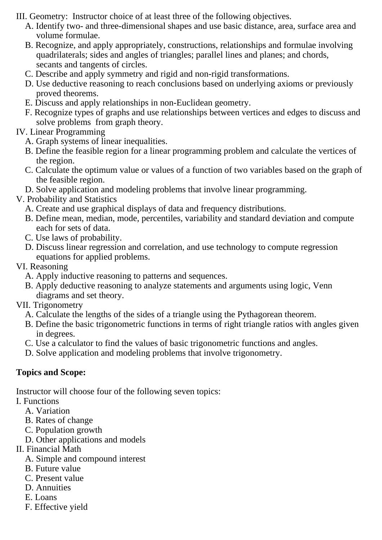- III. Geometry: Instructor choice of at least three of the following objectives.
	- A. Identify two- and three-dimensional shapes and use basic distance, area, surface area and volume formulae.
	- B. Recognize, and apply appropriately, constructions, relationships and formulae involving quadrilaterals; sides and angles of triangles; parallel lines and planes; and chords, secants and tangents of circles.
	- C. Describe and apply symmetry and rigid and non-rigid transformations.
	- D. Use deductive reasoning to reach conclusions based on underlying axioms or previously proved theorems.
	- E. Discuss and apply relationships in non-Euclidean geometry.
	- F. Recognize types of graphs and use relationships between vertices and edges to discuss and solve problems from graph theory.
- IV. Linear Programming
	- A. Graph systems of linear inequalities.
	- B. Define the feasible region for a linear programming problem and calculate the vertices of the region.
	- C. Calculate the optimum value or values of a function of two variables based on the graph of the feasible region.
	- D. Solve application and modeling problems that involve linear programming.
- V. Probability and Statistics
	- A. Create and use graphical displays of data and frequency distributions.
	- B. Define mean, median, mode, percentiles, variability and standard deviation and compute each for sets of data.
	- C. Use laws of probability.
	- D. Discuss linear regression and correlation, and use technology to compute regression equations for applied problems.
- VI. Reasoning
	- A. Apply inductive reasoning to patterns and sequences.
	- B. Apply deductive reasoning to analyze statements and arguments using logic, Venn diagrams and set theory.
- VII. Trigonometry
	- A. Calculate the lengths of the sides of a triangle using the Pythagorean theorem.
	- B. Define the basic trigonometric functions in terms of right triangle ratios with angles given in degrees.
	- C. Use a calculator to find the values of basic trigonometric functions and angles.
	- D. Solve application and modeling problems that involve trigonometry.

# **Topics and Scope:**

Instructor will choose four of the following seven topics:

- I. Functions
	- A. Variation
	- B. Rates of change
	- C. Population growth
	- D. Other applications and models
- II. Financial Math
	- A. Simple and compound interest
	- B. Future value
	- C. Present value
	- D. Annuities
	- E. Loans
	- F. Effective yield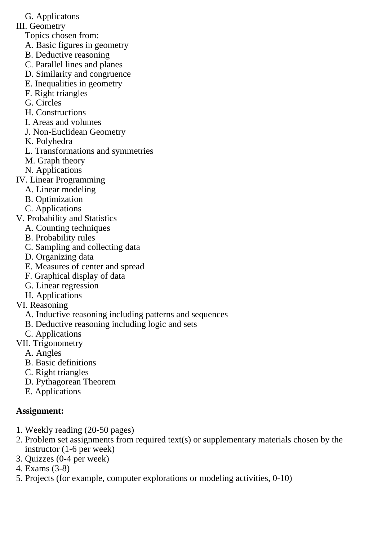G. Applicatons

III. Geometry

Topics chosen from:

- A. Basic figures in geometry
- B. Deductive reasoning
- C. Parallel lines and planes
- D. Similarity and congruence
- E. Inequalities in geometry
- F. Right triangles
- G. Circles
- H. Constructions
- I. Areas and volumes
- J. Non-Euclidean Geometry
- K. Polyhedra
- L. Transformations and symmetries
- M. Graph theory
- N. Applications
- IV. Linear Programming
	- A. Linear modeling
	- B. Optimization
	- C. Applications
- V. Probability and Statistics
	- A. Counting techniques
	- B. Probability rules
	- C. Sampling and collecting data
	- D. Organizing data
	- E. Measures of center and spread
	- F. Graphical display of data
	- G. Linear regression
	- H. Applications
- VI. Reasoning
	- A. Inductive reasoning including patterns and sequences
	- B. Deductive reasoning including logic and sets
	- C. Applications
- VII. Trigonometry
	- A. Angles
	- B. Basic definitions
	- C. Right triangles
	- D. Pythagorean Theorem
	- E. Applications

# **Assignment:**

- 1. Weekly reading (20-50 pages)
- 2. Problem set assignments from required text(s) or supplementary materials chosen by the instructor (1-6 per week)
- 3. Quizzes (0-4 per week)
- 4. Exams (3-8)
- 5. Projects (for example, computer explorations or modeling activities, 0-10)